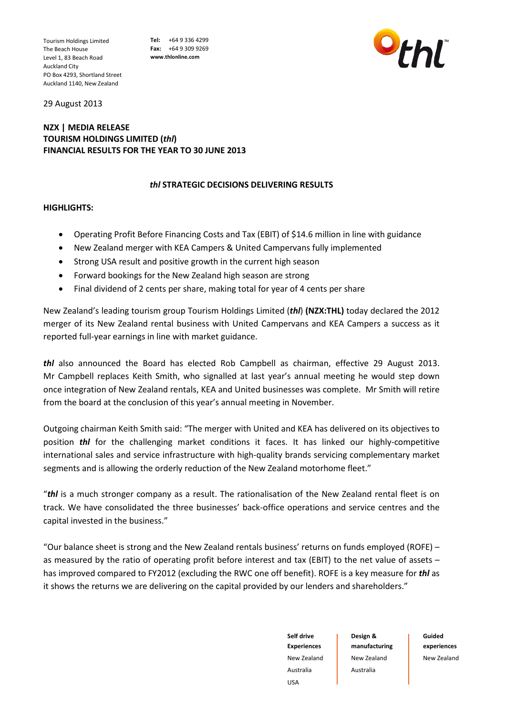Tourism Holdings Limited **Tel:** +64 9 336 4299 The Beach House **Fax:** +64 9 309 9269<br>Level 1. 83 Beach Road **WWW.thlonline.com** Level 1, 83 Beach Road Auckland City PO Box 4293, Shortland Street Auckland 1140, New Zealand



29 August 2013

# **NZX | MEDIA RELEASE TOURISM HOLDINGS LIMITED (***thl***) FINANCIAL RESULTS FOR THE YEAR TO 30 JUNE 2013**

# *thl* **STRATEGIC DECISIONS DELIVERING RESULTS**

# **HIGHLIGHTS:**

- Operating Profit Before Financing Costs and Tax (EBIT) of \$14.6 million in line with guidance
- New Zealand merger with KEA Campers & United Campervans fully implemented
- Strong USA result and positive growth in the current high season
- Forward bookings for the New Zealand high season are strong
- Final dividend of 2 cents per share, making total for year of 4 cents per share

New Zealand's leading tourism group Tourism Holdings Limited (*thl*) **(NZX:THL)** today declared the 2012 merger of its New Zealand rental business with United Campervans and KEA Campers a success as it reported full-year earnings in line with market guidance.

*thl* also announced the Board has elected Rob Campbell as chairman, effective 29 August 2013. Mr Campbell replaces Keith Smith, who signalled at last year's annual meeting he would step down once integration of New Zealand rentals, KEA and United businesses was complete. Mr Smith will retire from the board at the conclusion of this year's annual meeting in November.

Outgoing chairman Keith Smith said: "The merger with United and KEA has delivered on its objectives to position *thl* for the challenging market conditions it faces. It has linked our highly-competitive international sales and service infrastructure with high-quality brands servicing complementary market segments and is allowing the orderly reduction of the New Zealand motorhome fleet."

"*thl* is a much stronger company as a result. The rationalisation of the New Zealand rental fleet is on track. We have consolidated the three businesses' back-office operations and service centres and the capital invested in the business."

"Our balance sheet is strong and the New Zealand rentals business' returns on funds employed (ROFE) – as measured by the ratio of operating profit before interest and tax (EBIT) to the net value of assets – has improved compared to FY2012 (excluding the RWC one off benefit). ROFE is a key measure for *thl* as it shows the returns we are delivering on the capital provided by our lenders and shareholders."

> **Self drive Experiences** New Zealand Australia USA

**Design & manufacturing** New Zealand Australia

**Guided experiences** New Zealand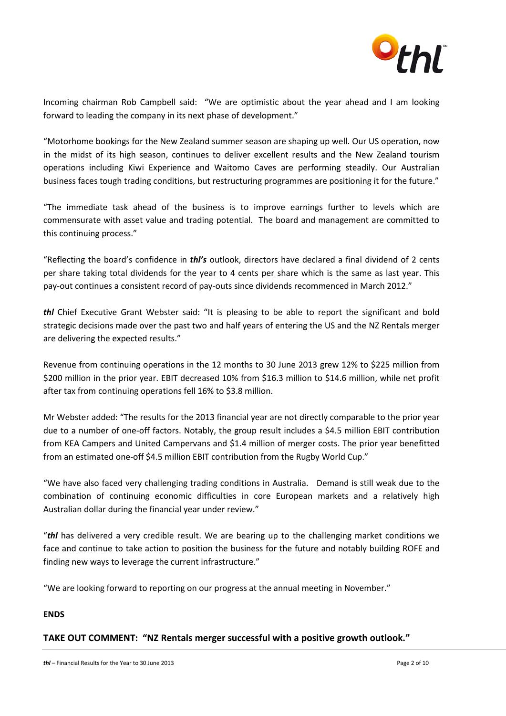

Incoming chairman Rob Campbell said: "We are optimistic about the year ahead and I am looking forward to leading the company in its next phase of development."

"Motorhome bookings for the New Zealand summer season are shaping up well. Our US operation, now in the midst of its high season, continues to deliver excellent results and the New Zealand tourism operations including Kiwi Experience and Waitomo Caves are performing steadily. Our Australian business faces tough trading conditions, but restructuring programmes are positioning it for the future."

"The immediate task ahead of the business is to improve earnings further to levels which are commensurate with asset value and trading potential. The board and management are committed to this continuing process."

"Reflecting the board's confidence in *thl's* outlook, directors have declared a final dividend of 2 cents per share taking total dividends for the year to 4 cents per share which is the same as last year. This pay-out continues a consistent record of pay-outs since dividends recommenced in March 2012."

*thl* Chief Executive Grant Webster said: "It is pleasing to be able to report the significant and bold strategic decisions made over the past two and half years of entering the US and the NZ Rentals merger are delivering the expected results."

Revenue from continuing operations in the 12 months to 30 June 2013 grew 12% to \$225 million from \$200 million in the prior year. EBIT decreased 10% from \$16.3 million to \$14.6 million, while net profit after tax from continuing operations fell 16% to \$3.8 million.

Mr Webster added: "The results for the 2013 financial year are not directly comparable to the prior year due to a number of one-off factors. Notably, the group result includes a \$4.5 million EBIT contribution from KEA Campers and United Campervans and \$1.4 million of merger costs. The prior year benefitted from an estimated one-off \$4.5 million EBIT contribution from the Rugby World Cup."

"We have also faced very challenging trading conditions in Australia. Demand is still weak due to the combination of continuing economic difficulties in core European markets and a relatively high Australian dollar during the financial year under review."

"*thl* has delivered a very credible result. We are bearing up to the challenging market conditions we face and continue to take action to position the business for the future and notably building ROFE and finding new ways to leverage the current infrastructure."

"We are looking forward to reporting on our progress at the annual meeting in November."

# **ENDS**

# **TAKE OUT COMMENT: "NZ Rentals merger successful with a positive growth outlook."**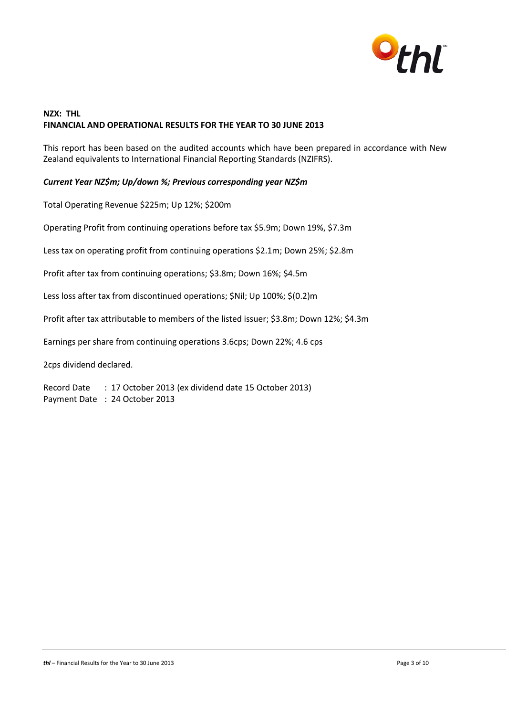

# **NZX: THL FINANCIAL AND OPERATIONAL RESULTS FOR THE YEAR TO 30 JUNE 2013**

This report has been based on the audited accounts which have been prepared in accordance with New Zealand equivalents to International Financial Reporting Standards (NZIFRS).

# *Current Year NZ\$m; Up/down %; Previous corresponding year NZ\$m*

Total Operating Revenue \$225m; Up 12%; \$200m

Operating Profit from continuing operations before tax \$5.9m; Down 19%, \$7.3m

Less tax on operating profit from continuing operations \$2.1m; Down 25%; \$2.8m

Profit after tax from continuing operations; \$3.8m; Down 16%; \$4.5m

Less loss after tax from discontinued operations; \$Nil; Up 100%; \$(0.2)m

Profit after tax attributable to members of the listed issuer; \$3.8m; Down 12%; \$4.3m

Earnings per share from continuing operations 3.6cps; Down 22%; 4.6 cps

2cps dividend declared.

Record Date : 17 October 2013 (ex dividend date 15 October 2013) Payment Date : 24 October 2013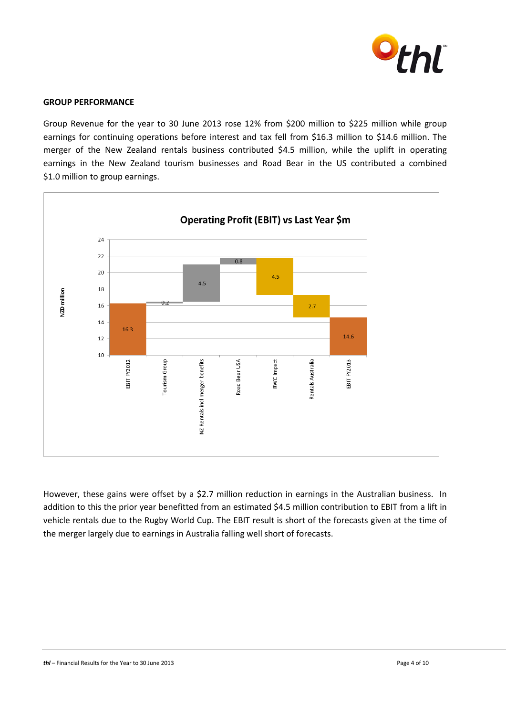

## **GROUP PERFORMANCE**

Group Revenue for the year to 30 June 2013 rose 12% from \$200 million to \$225 million while group earnings for continuing operations before interest and tax fell from \$16.3 million to \$14.6 million. The merger of the New Zealand rentals business contributed \$4.5 million, while the uplift in operating earnings in the New Zealand tourism businesses and Road Bear in the US contributed a combined \$1.0 million to group earnings.



However, these gains were offset by a \$2.7 million reduction in earnings in the Australian business. In addition to this the prior year benefitted from an estimated \$4.5 million contribution to EBIT from a lift in vehicle rentals due to the Rugby World Cup. The EBIT result is short of the forecasts given at the time of the merger largely due to earnings in Australia falling well short of forecasts.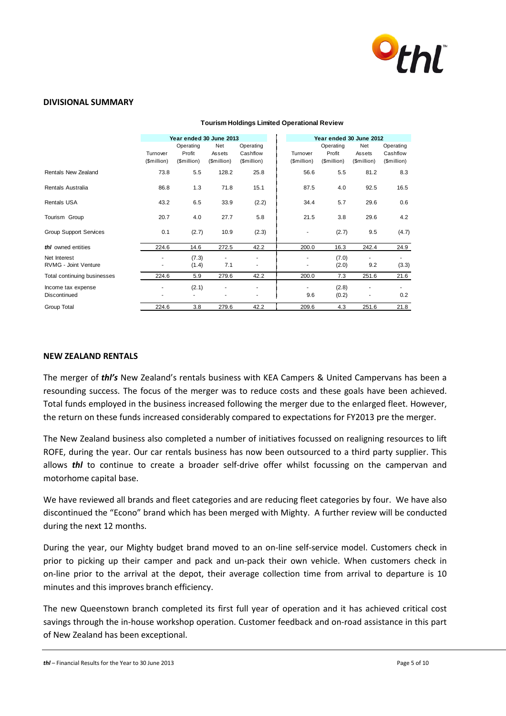

### **DIVISIONAL SUMMARY**

|                               | Year ended 30 June 2013 |             |                          |                          |             | Year ended 30 June 2012 |             |             |  |
|-------------------------------|-------------------------|-------------|--------------------------|--------------------------|-------------|-------------------------|-------------|-------------|--|
|                               |                         | Operating   | <b>Net</b>               | Operating                |             | Operating               | Net         | Operating   |  |
|                               | Turnover                | Profit      | Assets                   | Cashflow                 | Turnover    | Profit                  | Assets      | Cashflow    |  |
|                               | (\$million)             | (\$million) | (\$million)              | (\$million)              | (\$million) | (\$million)             | (\$million) | (\$million) |  |
| <b>Rentals New Zealand</b>    | 73.8                    | 5.5         | 128.2                    | 25.8                     | 56.6        | 5.5                     | 81.2        | 8.3         |  |
| Rentals Australia             | 86.8                    | 1.3         | 71.8                     | 15.1                     | 87.5        | 4.0                     | 92.5        | 16.5        |  |
| <b>Rentals USA</b>            | 43.2                    | 6.5         | 33.9                     | (2.2)                    | 34.4        | 5.7                     | 29.6        | 0.6         |  |
| Tourism Group                 | 20.7                    | 4.0         | 27.7                     | 5.8                      | 21.5        | 3.8                     | 29.6        | 4.2         |  |
| <b>Group Support Services</b> | 0.1                     | (2.7)       | 10.9                     | (2.3)                    |             | (2.7)                   | 9.5         | (4.7)       |  |
| thl owned entities            | 224.6                   | 14.6        | 272.5                    | 42.2                     | 200.0       | 16.3                    | 242.4       | 24.9        |  |
| Net Interest                  | ٠                       | (7.3)       | ٠                        | ٠                        |             | (7.0)                   | ٠           | ٠           |  |
| RVMG - Joint Venture          |                         | (1.4)       | 7.1                      | $\overline{\phantom{a}}$ |             | (2.0)                   | 9.2         | (3.3)       |  |
| Total continuing businesses   | 224.6                   | 5.9         | 279.6                    | 42.2                     | 200.0       | 7.3                     | 251.6       | 21.6        |  |
| Income tax expense            |                         | (2.1)       | $\overline{\phantom{a}}$ | ٠                        |             | (2.8)                   |             |             |  |
| Discontinued                  |                         |             |                          | ٠                        |             | 9.6<br>(0.2)            |             | 0.2         |  |
| Group Total                   | 224.6                   | 3.8         | 279.6                    | 42.2                     | 209.6       | 4.3                     | 251.6       | 21.8        |  |

#### **Tourism Holdings Limited Operational Review**

#### **NEW ZEALAND RENTALS**

The merger of *thl's* New Zealand's rentals business with KEA Campers & United Campervans has been a resounding success. The focus of the merger was to reduce costs and these goals have been achieved. Total funds employed in the business increased following the merger due to the enlarged fleet. However, the return on these funds increased considerably compared to expectations for FY2013 pre the merger.

The New Zealand business also completed a number of initiatives focussed on realigning resources to lift ROFE, during the year. Our car rentals business has now been outsourced to a third party supplier. This allows *thl* to continue to create a broader self-drive offer whilst focussing on the campervan and motorhome capital base.

We have reviewed all brands and fleet categories and are reducing fleet categories by four. We have also discontinued the "Econo" brand which has been merged with Mighty. A further review will be conducted during the next 12 months.

During the year, our Mighty budget brand moved to an on-line self-service model. Customers check in prior to picking up their camper and pack and un-pack their own vehicle. When customers check in on-line prior to the arrival at the depot, their average collection time from arrival to departure is 10 minutes and this improves branch efficiency.

The new Queenstown branch completed its first full year of operation and it has achieved critical cost savings through the in-house workshop operation. Customer feedback and on-road assistance in this part of New Zealand has been exceptional.

*thl* – Financial Results for the Year to 30 June 2013 **Page 5 of 10** Page 5 of 10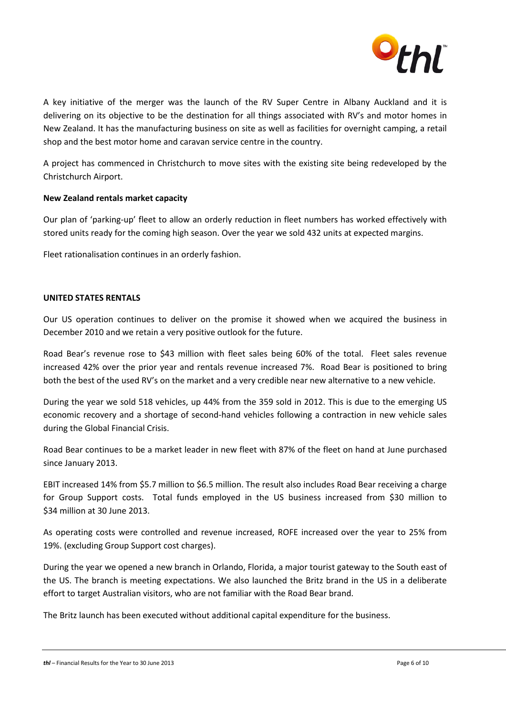

A key initiative of the merger was the launch of the RV Super Centre in Albany Auckland and it is delivering on its objective to be the destination for all things associated with RV's and motor homes in New Zealand. It has the manufacturing business on site as well as facilities for overnight camping, a retail shop and the best motor home and caravan service centre in the country.

A project has commenced in Christchurch to move sites with the existing site being redeveloped by the Christchurch Airport.

## **New Zealand rentals market capacity**

Our plan of 'parking-up' fleet to allow an orderly reduction in fleet numbers has worked effectively with stored units ready for the coming high season. Over the year we sold 432 units at expected margins.

Fleet rationalisation continues in an orderly fashion.

## **UNITED STATES RENTALS**

Our US operation continues to deliver on the promise it showed when we acquired the business in December 2010 and we retain a very positive outlook for the future.

Road Bear's revenue rose to \$43 million with fleet sales being 60% of the total. Fleet sales revenue increased 42% over the prior year and rentals revenue increased 7%. Road Bear is positioned to bring both the best of the used RV's on the market and a very credible near new alternative to a new vehicle.

During the year we sold 518 vehicles, up 44% from the 359 sold in 2012. This is due to the emerging US economic recovery and a shortage of second-hand vehicles following a contraction in new vehicle sales during the Global Financial Crisis.

Road Bear continues to be a market leader in new fleet with 87% of the fleet on hand at June purchased since January 2013.

EBIT increased 14% from \$5.7 million to \$6.5 million. The result also includes Road Bear receiving a charge for Group Support costs. Total funds employed in the US business increased from \$30 million to \$34 million at 30 June 2013.

As operating costs were controlled and revenue increased, ROFE increased over the year to 25% from 19%. (excluding Group Support cost charges).

During the year we opened a new branch in Orlando, Florida, a major tourist gateway to the South east of the US. The branch is meeting expectations. We also launched the Britz brand in the US in a deliberate effort to target Australian visitors, who are not familiar with the Road Bear brand.

The Britz launch has been executed without additional capital expenditure for the business.

*thl* – Financial Results for the Year to 30 June 2013 **Page 6 of 10** Page 6 of 10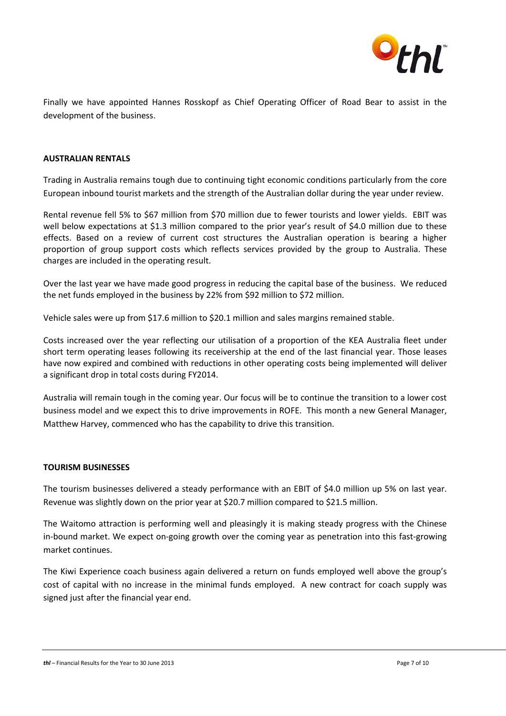

Finally we have appointed Hannes Rosskopf as Chief Operating Officer of Road Bear to assist in the development of the business.

## **AUSTRALIAN RENTALS**

Trading in Australia remains tough due to continuing tight economic conditions particularly from the core European inbound tourist markets and the strength of the Australian dollar during the year under review.

Rental revenue fell 5% to \$67 million from \$70 million due to fewer tourists and lower yields. EBIT was well below expectations at \$1.3 million compared to the prior year's result of \$4.0 million due to these effects. Based on a review of current cost structures the Australian operation is bearing a higher proportion of group support costs which reflects services provided by the group to Australia. These charges are included in the operating result.

Over the last year we have made good progress in reducing the capital base of the business. We reduced the net funds employed in the business by 22% from \$92 million to \$72 million.

Vehicle sales were up from \$17.6 million to \$20.1 million and sales margins remained stable.

Costs increased over the year reflecting our utilisation of a proportion of the KEA Australia fleet under short term operating leases following its receivership at the end of the last financial year. Those leases have now expired and combined with reductions in other operating costs being implemented will deliver a significant drop in total costs during FY2014.

Australia will remain tough in the coming year. Our focus will be to continue the transition to a lower cost business model and we expect this to drive improvements in ROFE. This month a new General Manager, Matthew Harvey, commenced who has the capability to drive this transition.

### **TOURISM BUSINESSES**

The tourism businesses delivered a steady performance with an EBIT of \$4.0 million up 5% on last year. Revenue was slightly down on the prior year at \$20.7 million compared to \$21.5 million.

The Waitomo attraction is performing well and pleasingly it is making steady progress with the Chinese in-bound market. We expect on-going growth over the coming year as penetration into this fast-growing market continues.

The Kiwi Experience coach business again delivered a return on funds employed well above the group's cost of capital with no increase in the minimal funds employed. A new contract for coach supply was signed just after the financial year end.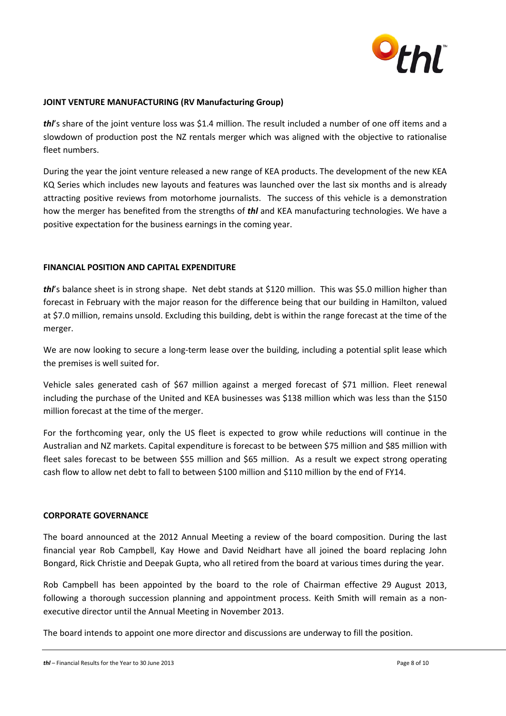

## **JOINT VENTURE MANUFACTURING (RV Manufacturing Group)**

*thl*'s share of the joint venture loss was \$1.4 million. The result included a number of one off items and a slowdown of production post the NZ rentals merger which was aligned with the objective to rationalise fleet numbers.

During the year the joint venture released a new range of KEA products. The development of the new KEA KQ Series which includes new layouts and features was launched over the last six months and is already attracting positive reviews from motorhome journalists. The success of this vehicle is a demonstration how the merger has benefited from the strengths of *thl* and KEA manufacturing technologies. We have a positive expectation for the business earnings in the coming year.

## **FINANCIAL POSITION AND CAPITAL EXPENDITURE**

*thl*'s balance sheet is in strong shape. Net debt stands at \$120 million. This was \$5.0 million higher than forecast in February with the major reason for the difference being that our building in Hamilton, valued at \$7.0 million, remains unsold. Excluding this building, debt is within the range forecast at the time of the merger.

We are now looking to secure a long-term lease over the building, including a potential split lease which the premises is well suited for.

Vehicle sales generated cash of \$67 million against a merged forecast of \$71 million. Fleet renewal including the purchase of the United and KEA businesses was \$138 million which was less than the \$150 million forecast at the time of the merger.

For the forthcoming year, only the US fleet is expected to grow while reductions will continue in the Australian and NZ markets. Capital expenditure is forecast to be between \$75 million and \$85 million with fleet sales forecast to be between \$55 million and \$65 million. As a result we expect strong operating cash flow to allow net debt to fall to between \$100 million and \$110 million by the end of FY14.

### **CORPORATE GOVERNANCE**

The board announced at the 2012 Annual Meeting a review of the board composition. During the last financial year Rob Campbell, Kay Howe and David Neidhart have all joined the board replacing John Bongard, Rick Christie and Deepak Gupta, who all retired from the board at various times during the year.

Rob Campbell has been appointed by the board to the role of Chairman effective 29 August 2013, following a thorough succession planning and appointment process. Keith Smith will remain as a nonexecutive director until the Annual Meeting in November 2013.

The board intends to appoint one more director and discussions are underway to fill the position.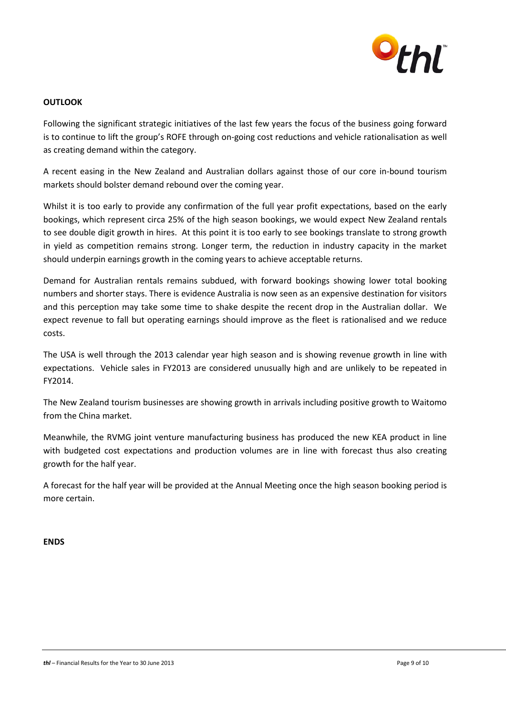

## **OUTLOOK**

Following the significant strategic initiatives of the last few years the focus of the business going forward is to continue to lift the group's ROFE through on-going cost reductions and vehicle rationalisation as well as creating demand within the category.

A recent easing in the New Zealand and Australian dollars against those of our core in-bound tourism markets should bolster demand rebound over the coming year.

Whilst it is too early to provide any confirmation of the full year profit expectations, based on the early bookings, which represent circa 25% of the high season bookings, we would expect New Zealand rentals to see double digit growth in hires. At this point it is too early to see bookings translate to strong growth in yield as competition remains strong. Longer term, the reduction in industry capacity in the market should underpin earnings growth in the coming years to achieve acceptable returns.

Demand for Australian rentals remains subdued, with forward bookings showing lower total booking numbers and shorter stays. There is evidence Australia is now seen as an expensive destination for visitors and this perception may take some time to shake despite the recent drop in the Australian dollar. We expect revenue to fall but operating earnings should improve as the fleet is rationalised and we reduce costs.

The USA is well through the 2013 calendar year high season and is showing revenue growth in line with expectations. Vehicle sales in FY2013 are considered unusually high and are unlikely to be repeated in FY2014.

The New Zealand tourism businesses are showing growth in arrivals including positive growth to Waitomo from the China market.

Meanwhile, the RVMG joint venture manufacturing business has produced the new KEA product in line with budgeted cost expectations and production volumes are in line with forecast thus also creating growth for the half year.

A forecast for the half year will be provided at the Annual Meeting once the high season booking period is more certain.

**ENDS**